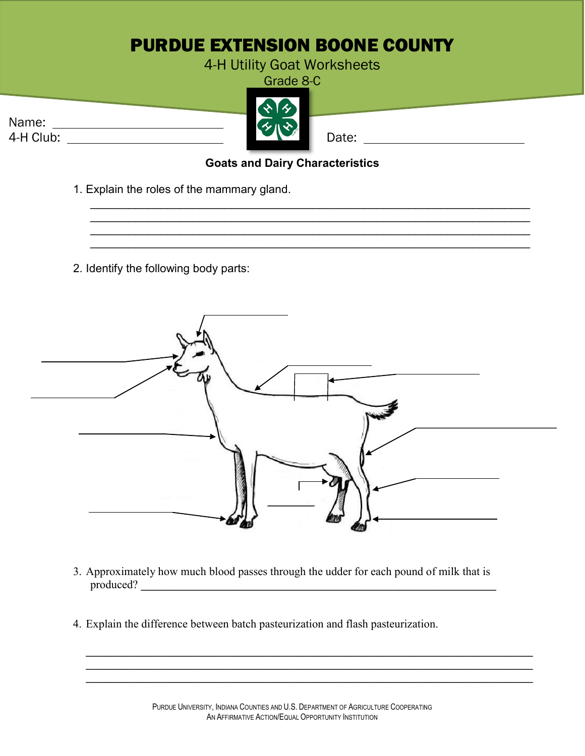## PURDUE EXTENSION BOONE COUNTY

## 4-H Utility Goat Worksheets

Grade 8-C



Name:

## **Goats and Dairy Characteristics**

\_\_\_\_\_\_\_\_\_\_\_\_\_\_\_\_\_\_\_\_\_\_\_\_\_\_\_\_\_\_\_\_\_\_\_\_\_\_\_\_\_\_\_\_\_\_\_\_\_\_\_\_\_\_\_\_\_\_\_\_\_\_\_\_\_\_\_\_\_

\_\_\_\_\_\_\_\_\_\_\_\_\_\_\_\_\_\_\_\_\_\_\_\_\_\_\_\_\_\_\_\_\_\_\_\_\_\_\_\_\_\_\_\_\_\_\_\_\_\_\_\_\_\_\_\_\_\_\_\_\_\_\_\_\_\_\_\_\_ \_\_\_\_\_\_\_\_\_\_\_\_\_\_\_\_\_\_\_\_\_\_\_\_\_\_\_\_\_\_\_\_\_\_\_\_\_\_\_\_\_\_\_\_\_\_\_\_\_\_\_\_\_\_\_\_\_\_\_\_\_\_\_\_\_\_\_\_\_

- 1. Explain the roles of the mammary gland.
- 2. Identify the following body parts:



- 3. Approximately how much blood passes through the udder for each pound of milk that is produced? **\_\_\_\_\_\_\_\_\_\_\_\_\_\_\_\_\_\_\_\_\_\_\_\_\_\_\_\_\_\_\_\_\_\_\_\_\_\_\_\_\_\_\_\_\_\_\_\_\_\_\_\_\_\_\_\_\_\_\_\_\_\_**
- 4. Explain the difference between batch pasteurization and flash pasteurization.

**\_\_\_\_\_\_\_\_\_\_\_\_\_\_\_\_\_\_\_\_\_\_\_\_\_\_\_\_\_\_\_\_\_\_\_\_\_\_\_\_\_\_\_\_\_\_\_\_\_\_\_\_\_\_\_\_\_\_\_\_\_\_\_\_\_\_\_\_\_\_\_\_\_\_\_\_\_\_**

**\_\_\_\_\_\_\_\_\_\_\_\_\_\_\_\_\_\_\_\_\_\_\_\_\_\_\_\_\_\_\_\_\_\_\_\_\_\_\_\_\_\_\_\_\_\_\_\_\_\_\_\_\_\_\_\_\_\_\_\_\_\_\_\_\_\_\_\_\_\_\_\_\_\_\_\_\_\_**